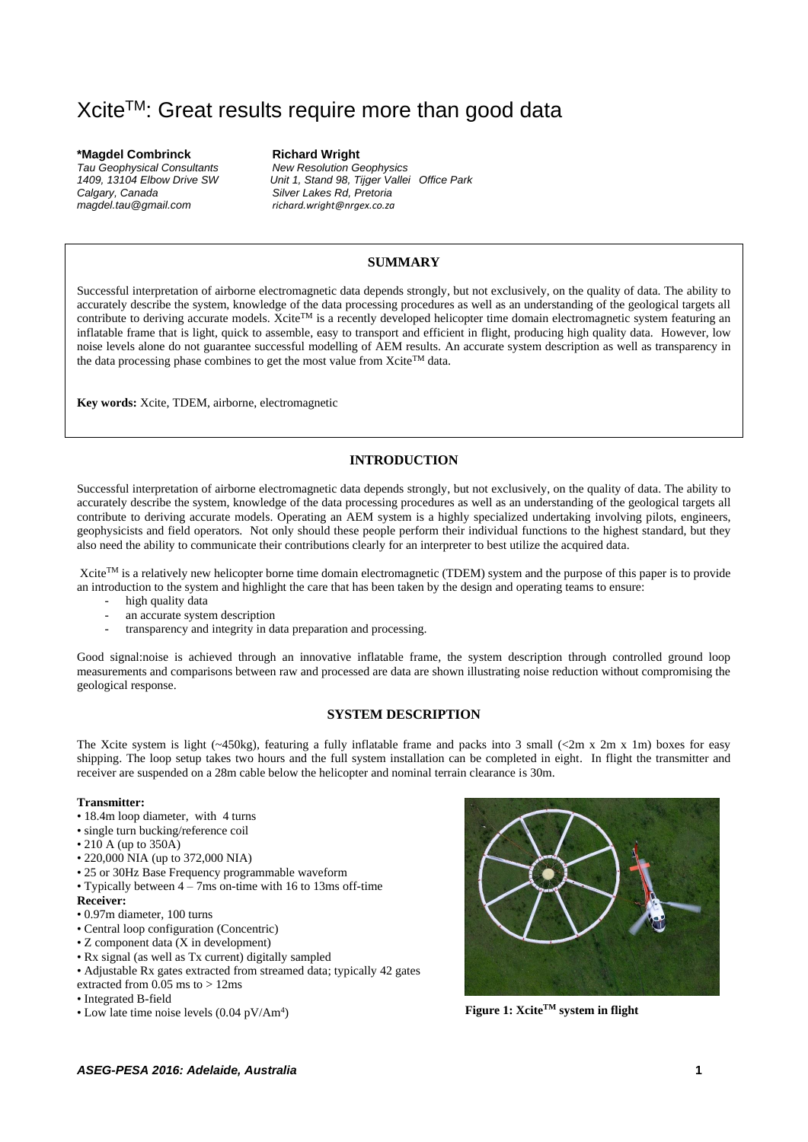# Xcite<sup>™</sup>: Great results require more than good data

**\*Magdel Combrinck Richard Wright** *Tau Geophysical Consultants New Resolution Geophysics Calgary, Canada Silver Lakes Rd, Pretoria*

*1409, 13104 Elbow Drive SW Unit 1, Stand 98, Tijger Vallei Office Park magdel.tau@gmail.com richard.wright@nrgex.co.za*

## **SUMMARY**

Successful interpretation of airborne electromagnetic data depends strongly, but not exclusively, on the quality of data. The ability to accurately describe the system, knowledge of the data processing procedures as well as an understanding of the geological targets all contribute to deriving accurate models. Xcite<sup>TM</sup> is a recently developed helicopter time domain electromagnetic system featuring an inflatable frame that is light, quick to assemble, easy to transport and efficient in flight, producing high quality data. However, low noise levels alone do not guarantee successful modelling of AEM results. An accurate system description as well as transparency in the data processing phase combines to get the most value from Xcite<sup>TM</sup> data.

**Key words:** Xcite, TDEM, airborne, electromagnetic

# **INTRODUCTION**

Successful interpretation of airborne electromagnetic data depends strongly, but not exclusively, on the quality of data. The ability to accurately describe the system, knowledge of the data processing procedures as well as an understanding of the geological targets all contribute to deriving accurate models. Operating an AEM system is a highly specialized undertaking involving pilots, engineers, geophysicists and field operators. Not only should these people perform their individual functions to the highest standard, but they also need the ability to communicate their contributions clearly for an interpreter to best utilize the acquired data.

Xcite<sup>TM</sup> is a relatively new helicopter borne time domain electromagnetic (TDEM) system and the purpose of this paper is to provide an introduction to the system and highlight the care that has been taken by the design and operating teams to ensure:

- high quality data
- an accurate system description
- transparency and integrity in data preparation and processing.

Good signal:noise is achieved through an innovative inflatable frame, the system description through controlled ground loop measurements and comparisons between raw and processed are data are shown illustrating noise reduction without compromising the geological response.

# **SYSTEM DESCRIPTION**

The Xcite system is light  $(-450kg)$ , featuring a fully inflatable frame and packs into 3 small  $(\leq 2m \times 2m \times 1m)$  boxes for easy shipping. The loop setup takes two hours and the full system installation can be completed in eight. In flight the transmitter and receiver are suspended on a 28m cable below the helicopter and nominal terrain clearance is 30m.

#### **Transmitter:**

- 18.4m loop diameter, with 4 turns
- single turn bucking/reference coil
- 210 A (up to 350A)
- 220,000 NIA (up to 372,000 NIA)
- 25 or 30Hz Base Frequency programmable waveform
- Typically between 4 7ms on-time with 16 to 13ms off-time

#### **Receiver:**

- 0.97m diameter, 100 turns
- Central loop configuration (Concentric)
- Z component data (X in development)
- Rx signal (as well as Tx current) digitally sampled
- Adjustable Rx gates extracted from streamed data; typically 42 gates extracted from 0.05 ms to > 12ms
- Integrated B-field
- Low late time noise levels  $(0.04 \text{ pV/Am}^4)$



) **Figure 1: XciteTM system in flight**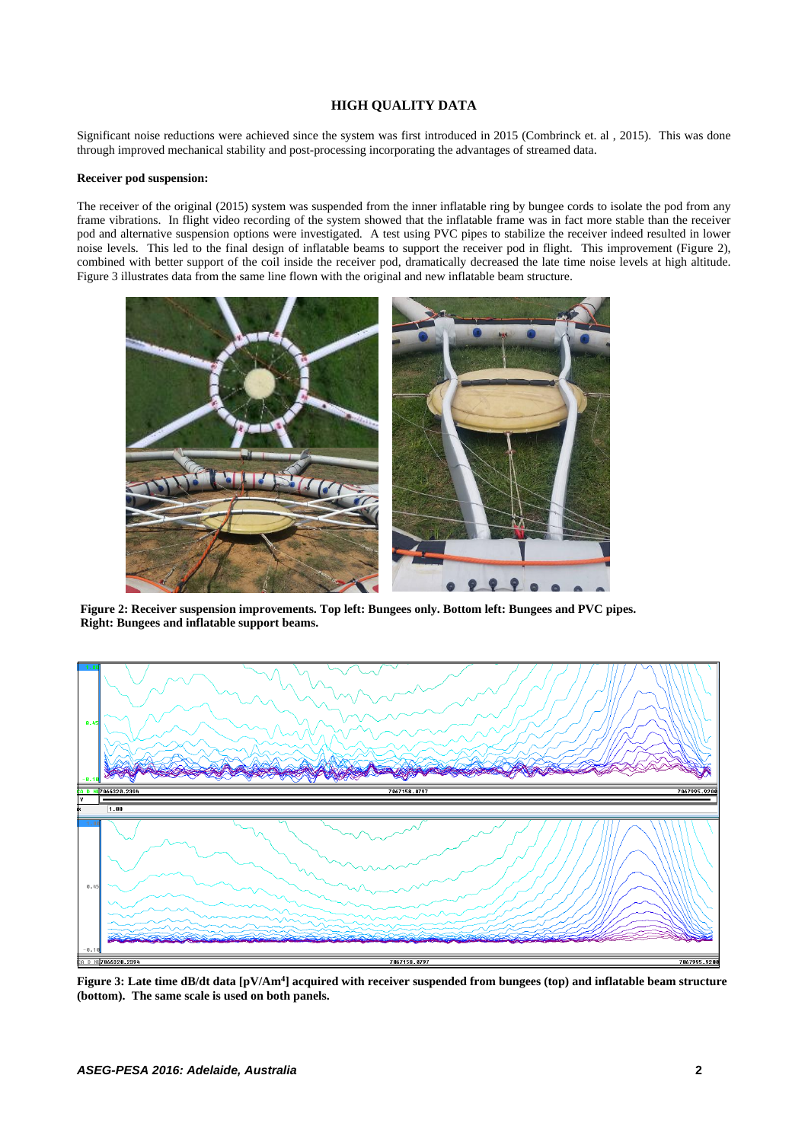# **HIGH QUALITY DATA**

Significant noise reductions were achieved since the system was first introduced in 2015 (Combrinck et. al , 2015). This was done through improved mechanical stability and post-processing incorporating the advantages of streamed data.

#### **Receiver pod suspension:**

The receiver of the original (2015) system was suspended from the inner inflatable ring by bungee cords to isolate the pod from any frame vibrations. In flight video recording of the system showed that the inflatable frame was in fact more stable than the receiver pod and alternative suspension options were investigated. A test using PVC pipes to stabilize the receiver indeed resulted in lower noise levels. This led to the final design of inflatable beams to support the receiver pod in flight. This improvement (Figure 2), combined with better support of the coil inside the receiver pod, dramatically decreased the late time noise levels at high altitude. Figure 3 illustrates data from the same line flown with the original and new inflatable beam structure.



**Figure 2: Receiver suspension improvements. Top left: Bungees only. Bottom left: Bungees and PVC pipes. Right: Bungees and inflatable support beams.**



**Figure 3: Late time dB/dt data [pV/Am<sup>4</sup> ] acquired with receiver suspended from bungees (top) and inflatable beam structure (bottom). The same scale is used on both panels.**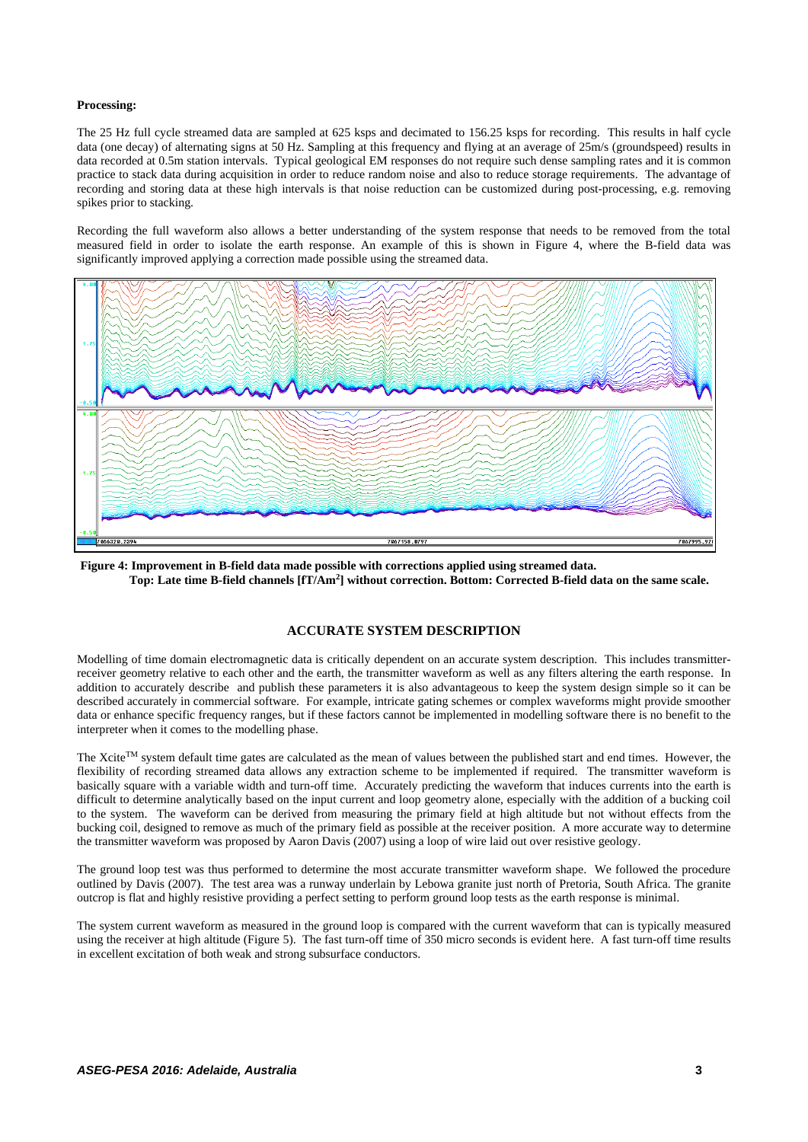#### **Processing:**

The 25 Hz full cycle streamed data are sampled at 625 ksps and decimated to 156.25 ksps for recording. This results in half cycle data (one decay) of alternating signs at 50 Hz. Sampling at this frequency and flying at an average of 25m/s (groundspeed) results in data recorded at 0.5m station intervals. Typical geological EM responses do not require such dense sampling rates and it is common practice to stack data during acquisition in order to reduce random noise and also to reduce storage requirements. The advantage of recording and storing data at these high intervals is that noise reduction can be customized during post-processing, e.g. removing spikes prior to stacking.

Recording the full waveform also allows a better understanding of the system response that needs to be removed from the total measured field in order to isolate the earth response. An example of this is shown in Figure 4, where the B-field data was significantly improved applying a correction made possible using the streamed data.



**Figure 4: Improvement in B-field data made possible with corrections applied using streamed data. Top: Late time B-field channels [fT/Am<sup>2</sup> ] without correction. Bottom: Corrected B-field data on the same scale.**

## **ACCURATE SYSTEM DESCRIPTION**

Modelling of time domain electromagnetic data is critically dependent on an accurate system description. This includes transmitterreceiver geometry relative to each other and the earth, the transmitter waveform as well as any filters altering the earth response. In addition to accurately describe and publish these parameters it is also advantageous to keep the system design simple so it can be described accurately in commercial software. For example, intricate gating schemes or complex waveforms might provide smoother data or enhance specific frequency ranges, but if these factors cannot be implemented in modelling software there is no benefit to the interpreter when it comes to the modelling phase.

The Xcite<sup>TM</sup> system default time gates are calculated as the mean of values between the published start and end times. However, the flexibility of recording streamed data allows any extraction scheme to be implemented if required. The transmitter waveform is basically square with a variable width and turn-off time. Accurately predicting the waveform that induces currents into the earth is difficult to determine analytically based on the input current and loop geometry alone, especially with the addition of a bucking coil to the system. The waveform can be derived from measuring the primary field at high altitude but not without effects from the bucking coil, designed to remove as much of the primary field as possible at the receiver position. A more accurate way to determine the transmitter waveform was proposed by Aaron Davis (2007) using a loop of wire laid out over resistive geology.

The ground loop test was thus performed to determine the most accurate transmitter waveform shape. We followed the procedure outlined by Davis (2007). The test area was a runway underlain by Lebowa granite just north of Pretoria, South Africa. The granite outcrop is flat and highly resistive providing a perfect setting to perform ground loop tests as the earth response is minimal.

The system current waveform as measured in the ground loop is compared with the current waveform that can is typically measured using the receiver at high altitude (Figure 5). The fast turn-off time of 350 micro seconds is evident here. A fast turn-off time results in excellent excitation of both weak and strong subsurface conductors.